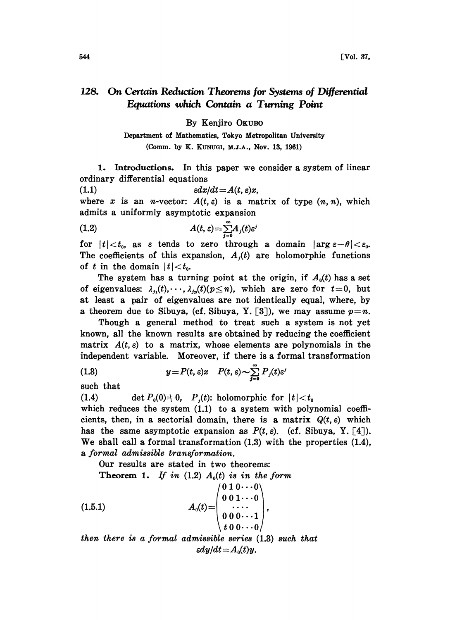## 128. On Certain Reduction Theorems for Systems of Differential Equations which Contain a Turning Point

By Kenjiro OKUBO

Department of Mathematics, Tokyo Metropolitan University (Comm. by K. KUNUGI, M.J.A., Nov. 13, 1961)

1. Introductions. In this paper we consider a system of linear ordinary differential equations

(1.1) cdx/dt=A(t, e)x,

where x is an *n*-vector:  $A(t, \varepsilon)$  is a matrix of type  $(n, n)$ , which admits a uniformly asymptotic expansion

(1.2) 
$$
A(t,\varepsilon) = \sum_{j=0}^{\infty} A_j(t) \varepsilon^j
$$

for  $|t| < t_0$ , as  $\varepsilon$  tends to zero through a domain  $|\arg \varepsilon - \theta| < \varepsilon_0$ . The coefficients of this expansion,  $A_j(t)$  are holomorphic functions of t in the domain  $|t| < t_0$ .

The system has a turning point at the origin, if  $A_0(t)$  has a set of eigenvalues:  $\lambda_{j_1}(t), \dots, \lambda_{j_p}(t)$  ( $p \leq n$ ), which are zero for  $t=0$ , but at least a pair of eigenvalues are not identically equal, where, by a theorem due to Sibuya, (cf. Sibuya, Y. [3]), we may assume  $p=n$ .

Though a general method to treat such a system is not yet known, all the known results are obtained by reducing the eoeflieient matrix  $A(t, \varepsilon)$  to a matrix, whose elements are polynomials in the independent variable. Moreover, if there is a formal transformation

(1.3) 
$$
y = P(t, \varepsilon)x \quad P(t, \varepsilon) \sim \sum_{j=0}^{\infty} P_j(t) \varepsilon^j
$$

such that

(1.4) det  $P_0(0) \neq 0$ ,  $P_1(t)$ : holomorphic for  $|t| < t_0$ 

which reduces the system  $(1.1)$  to a system with polynomial coefficients, then, in a sectorial domain, there is a matrix  $Q(t, \varepsilon)$  which has the same asymptotic expansion as  $P(t, \varepsilon)$ . (cf. Sibuya, Y. [4]). We shall call <sup>a</sup> formal transformation (1.3) with the properties (1.4), a formal admissible transformation.

Our results are stated in two theorems:

Theorem 1. If in  $(1.2)$   $A_0(t)$  is in the form

$$
(1.5.1) \t A_0(t) = \begin{pmatrix} 0 & 1 & 0 & \cdots & 0 \\ 0 & 0 & 1 & \cdots & 0 \\ \vdots & \vdots & \ddots & \vdots \\ 0 & 0 & 0 & \cdots & 1 \\ t & 0 & 0 & \cdots & 0 \end{pmatrix},
$$

then there is a formal admissible series (1.3) such that  $\epsilon dy/dt = A_0(t)y$ .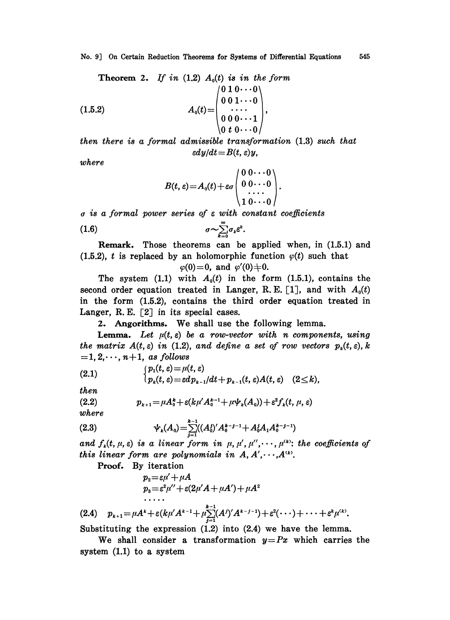No. 9J On Certain Reduction Theorems for Systems of Differential Equations 545

Theorem 2. If in (1.2) 
$$
A_0(t)
$$
 is in the form

\n
$$
(1.5.2) \quad A_0(t) = \begin{pmatrix} 0 & 1 & 0 & \cdots & 0 \\ 0 & 0 & 1 & \cdots & 0 \\ \vdots & \vdots & \ddots & \vdots \\ 0 & 0 & 0 & \cdots & 1 \\ 0 & t & 0 & \cdots & 0 \end{pmatrix},
$$

then there is a formal admissible transformation (1.3) such that  $\epsilon dy/dt = B(t, \varepsilon)y$ ,

where

$$
B(t,\varepsilon)\!=\!A_0(t)\!+\varepsilon\sigma\left(\begin{array}{ccc}0\ 0\cdots0\\0\ 0\cdots0\\1\ 0\cdots0\end{array}\right).
$$

 $\sigma$  is a formal power series of  $\varepsilon$  with constant coefficients

(1.6) a.,ae k=0 .

Remark. Those theorems can be applied when, in (1.5.1) and (1.5.2), t is replaced by an holomorphic function  $\varphi(t)$  such that

$$
\varphi(0)=0, \text{ and } \varphi'(0)=0.
$$

The system (1.1) with  $A_0(t)$  in the form (1.5.1), contains the second order equation treated in Langer, R.E. [1], and with  $A_0(t)$ in the form (1.5.2), contains the third order equation treated in Langer, R.E.  $\lceil 2 \rceil$  in its special cases.

2. Angorithms. We shall use the following lemma.

**Lemma.** Let  $\mu(t, \varepsilon)$  be a row-vector with n components, using the matrix  $A(t, \varepsilon)$  in (1.2), and define a set of row vectors  $p_k(t, \varepsilon)$ , k  $=1, 2, \dots, n+1$ , as follows

(2.1) 
$$
\begin{cases} p_1(t,\varepsilon) = \mu(t,\varepsilon) \\ p_k(t,\varepsilon) = \varepsilon d p_{k-1}/dt + p_{k-1}(t,\varepsilon) A(t,\varepsilon) \quad (2 \leq k), \end{cases}
$$

then

$$
(2.2) \t\t p_{k+1} = \mu A_0^k + \varepsilon (k\mu' A_0^{k-1} + \mu \psi_k(A_0)) + \varepsilon^2 f_k(t, \mu, \varepsilon)
$$

where

(2.3) 
$$
\psi_{k}(A_{0}) = \sum_{j=1}^{k-1} ((A_{0}^{j})' A_{0}^{k-j-1} + A_{0}^{j} A_{1} A_{0}^{k-j-1})
$$
  
and  $f_{k}(t, \mu, \varepsilon)$  is a linear form in  $\mu, \mu', \mu'', \dots, \mu^{(k)}$ : the coefficients of

this linear form are polynomials in  $A, A', \dots, A^{(k)}$ .

Proof. By iteration

$$
p_2 = \varepsilon \mu' + \mu A
$$
  
\n
$$
p_3 = \varepsilon^2 \mu'' + \varepsilon (2\mu' A + \mu A') + \mu A^2
$$

(2.4)  $p_{k+1} = \mu A^k + \varepsilon (k\mu' A^{k-1} + \mu \sum_{j=1}^{k-1} (A^j)' A^{k-j-1}) + \varepsilon^2 (\cdots) + \cdots + \varepsilon^k \mu^{(k)}.$ 

Substituting the expression (1.2) into (2.4) we have the lemma.

We shall consider a transformation  $y=Px$  which carries the system (1.1) to a system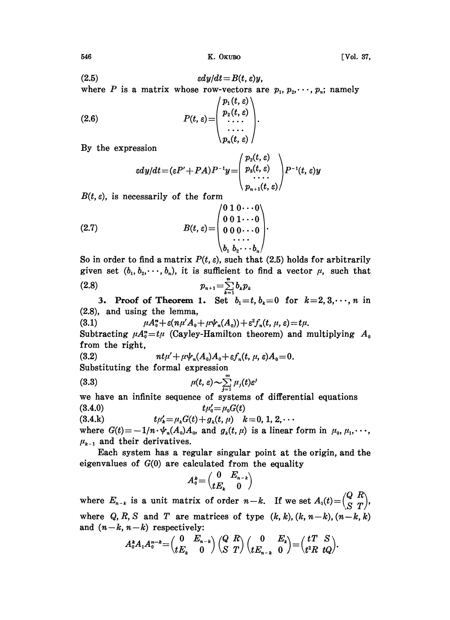$$
(2.5) \t\t\t\t\t\t\varepsilon dy/dt = B(t,\varepsilon)y,
$$

where P is a matrix whose row-vectors are  $p_1, p_2, \dots, p_n$ ; namely

(2.6) 
$$
P(t,\varepsilon) = \begin{pmatrix} p_1(t,\varepsilon) \\ p_2(t,\varepsilon) \\ \cdots \\ p_n(t,\varepsilon) \end{pmatrix}.
$$

By the expression

$$
\varepsilon dy/dt = (\varepsilon P' + PA)P^{-1}y = \begin{pmatrix} p_z(t,\varepsilon) \\ p_s(t,\varepsilon) \\ \cdots \\ p_{n+1}(t,\varepsilon) \end{pmatrix} P^{-1}(t,\varepsilon)y
$$

 $B(t, \varepsilon)$ , is necessarily of the form

$$
(2.7) \qquad B(t,\,\varepsilon) = \begin{pmatrix} 0 & 1 & 0 & \cdots & 0 \\ 0 & 0 & 1 & \cdots & 0 \\ 0 & 0 & 0 & \cdots & 0 \\ \vdots & \vdots & \ddots & \vdots & \vdots \\ b_1 & b_2 & \cdots & b_n \end{pmatrix}.
$$

So in order to find a matrix  $P(t, \varepsilon)$ , such that (2.5) holds for arbitrarily given set  $(b_1, b_2, \dots, b_n)$ , it is sufficient to find a vector  $\mu$ , such that  $p_{n+1} = \sum_{k=1}^{n} b_k p_k$ (2.8)

3. Proof of Theorem 1. Set  $b_1=t, b_2=0$  for  $k=2,3,\dots, n$  in  $(2.8)$ , and using the lemma,

(3.1)  $\mu A_0^n + \varepsilon (n\mu' A_0 + \mu \psi_n(A_0)) + \varepsilon^2 f_n(t, \mu, \varepsilon) = t\mu.$ 

Subtracting  $\mu A_0^* = t\mu$  (Cayley-Hamilton theorem) and multiplying  $A_0$ from the right,

(3.2) 
$$
nt\mu' + \mu\psi_n(A_0)A_0 + \varepsilon f_n(t, \mu, \varepsilon)A_0 = 0.
$$

Substituting the formal expression

(3.3) 
$$
\mu(t, \varepsilon) \sim \sum_{j=1}^{\infty} \mu_j(t) \varepsilon^j
$$

we have an infinite sequence of systems of differential equations (3.4.0)  $t\mu'_0 = \mu_0 G(t)$ 

(3.4.k)  $t\mu'_{k}=\mu_{k}G(t)+g_{k}(t, \mu)$   $k=0, 1, 2, \cdots$ 

(3.4.k)  $t\mu'_k = \mu_k G(t) + g_k(t, \mu)$   $k = 0, 1, 2, \cdots$ <br>where  $G(t) = -1/n \cdot \psi_n(A_0)A_0$ , and  $g_k(t, \mu)$  is a linear form in  $\mu_0, \mu_1, \cdots$ ,  $\mu_{k-1}$  and their derivatives.

Each system has a regular singular point at the origin, and the eigenvalues of  $G(0)$  are calculated from the equality

$$
A_0^k{=}\begin{pmatrix}0 & E_{n-k} \\ tE_k & 0\end{pmatrix}
$$

where  $E_{n-k}$  is a unit matrix of order  $n-k$ . If we set  $A_1(t)=\begin{pmatrix} Q & R \\ S & T \end{pmatrix}$ , where Q, R, S and T are matrices of type  $(k, k)$ ,  $(k, n-k)$ ,  $(n-k, k)$ and  $(n-k, n-k)$  respectively:<br>  $A_0^k A_1 A_0^{n-k} = \begin{pmatrix} 0 & E_n \\ tE_n & 0 \end{pmatrix}$ 

$$
A_0^k A_1 A_0^{n-k} = \begin{pmatrix} 0 & E_{n-k} \\ tE_k & 0 \end{pmatrix} \begin{pmatrix} Q & R \\ S & T \end{pmatrix} \begin{pmatrix} 0 & E_k \\ tE_{n-k} & 0 \end{pmatrix} = \begin{pmatrix} tT & S \\ t^2R & tQ \end{pmatrix}.
$$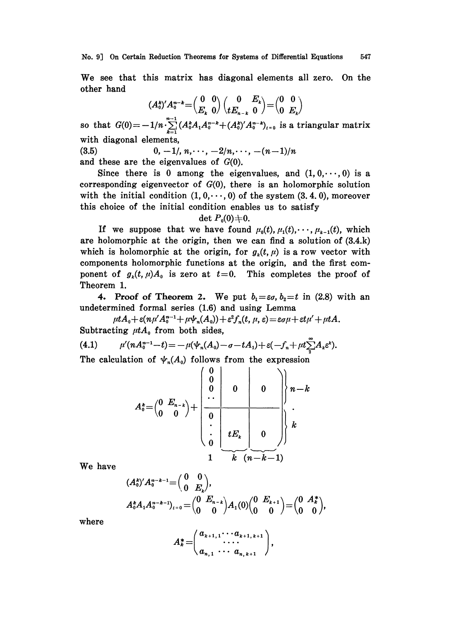We see that this matrix has diagonal elements all zero. On the other hand

$$
(A_0^k)'A_0^{n-k} = \begin{pmatrix} 0 & 0 \\ E_k & 0 \end{pmatrix} \begin{pmatrix} 0 & E_k \\ tE_{n-k} & 0 \end{pmatrix} = \begin{pmatrix} 0 & 0 \\ 0 & E_k \end{pmatrix}
$$

so that  $G(0) = -1/n \sum_{k=1}^{n-1} (A_0^k A_1 A_0^{n-k} + (A_0^k)' A_0^{n-k})_{k=0}$  is a triangular matrix with diagonal elements,

(3.5) 0,  $-1/$ ,  $n, \dots, -2/n, \dots, -(n-1)/n$ and these are the eigenvalues of  $G(0)$ .

Since there is 0 among the eigenvalues, and  $(1, 0, \dots, 0)$  is a corresponding eigenvector of  $G(0)$ , there is an holomorphic solution with the initial condition  $(1, 0, \dots, 0)$  of the system  $(3, 4, 0)$ , moreover this choice of the initial condition enables us to satisfy

## det  $P_0(0) \neq 0$ .

If we suppose that we have found  $\mu_0(t), \mu_1(t), \cdots, \mu_{k-1}(t)$ , which are holomorphic at the origin, then we can find a solution of (3.4.k) which is holomorphic at the origin, for  $g<sub>i</sub>(t, \mu)$  is a row vector with components holomorphic functions at the origin, and the first component of  $g_k(t,\mu)A_0$  is zero at  $t=0$ . This completes the proof of Theorem 1.

4. Proof of Theorem 2. We put  $b_1 = \varepsilon \sigma$ ,  $b_2 = t$  in (2.8) with an undetermined formal series (1.6) and using Lemma

 $\mu t A_0 + \varepsilon (n \mu' A_0^{n-1} + \mu \psi_n(A_0)) + \varepsilon^2 f_n(t, \mu, \varepsilon) = \varepsilon \sigma \mu + \varepsilon t \mu' + \mu t A.$ Subtracting  $\mu tA_0$  from both sides,

(4.1) 
$$
\mu'(nA_0^{n-1}-t) = -\mu(\psi_n(A_0) - \sigma - tA_1) + \varepsilon(-f_n + \mu t \sum_{i=1}^{\infty} A_i \varepsilon^k).
$$

The calculation of  $\psi_n(A_0)$  follows from the expression

$$
A_0^k = \begin{pmatrix} 0 & E_{n-k} \\ 0 & 0 \end{pmatrix} + \begin{pmatrix} 0 & 0 & 0 \\ 0 & 0 & 0 \\ \hline \vdots & \ddots & \vdots \\ 0 & E_k & 0 \\ 1 & k & (n-k-1) \end{pmatrix} k
$$

We have

$$
(A_0^*)'A_0^{n-k-1} = \begin{pmatrix} 0 & 0 \ 0 & E_k \end{pmatrix},
$$
  
\n
$$
A_0^k A_1 A_0^{n-k-1} \Big|_{t=0} = \begin{pmatrix} 0 & E_{n-k} \ 0 & 0 \end{pmatrix} A_1(0) \begin{pmatrix} 0 & E_{k+1} \ 0 & 0 \end{pmatrix} = \begin{pmatrix} 0 & A_k^* \ 0 & 0 \end{pmatrix},
$$

where

$$
A_k^* = \begin{pmatrix} a_{k+1,1} \cdots a_{k+1,k+1} \\ \cdots \cdots \\ a_{n,1} \cdots a_{n,k+1} \end{pmatrix},
$$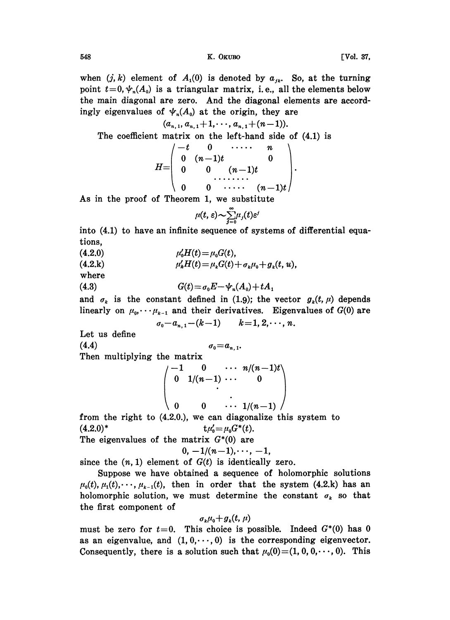548 **K. OKUBO CONTROLLER IN THE UP ASSESSED FOR A VOL. 37,** 

when  $(j, k)$  element of  $A_1(0)$  is denoted by  $a_{jk}$ . So, at the turning point  $t=0, \psi_n(A_0)$  is a triangular matrix, i.e., all the elements below the main diagonal are zero. And the diagonal elements are accordingly eigenvalues of  $\psi_n(A_0)$  at the origin, they are

$$
(a_{n,1}, a_{n,1}+1,\cdots,a_{n,1}+(n-1)).
$$

The coefficient matrix on the left-hand side of (4.1) is

$$
H=\left(\begin{array}{cccc} -t & 0 & \cdots & n \\ 0 & (n-1)t & 0 \\ 0 & 0 & (n-1)t \\ 0 & 0 & \cdots & (n-1)t \end{array}\right).
$$

As in the proof of Theorem 1, we substitute

$$
\mu(t,\,\varepsilon)\!\!\sim\!\! \sum_{j=0}^\infty\!\!\mu_j(t)\varepsilon^j
$$

into (4.1) to have an infinite sequence of systems of differential equations,

(4.2.0)  $\mu_0'H(t)=\mu_0G(t),$ 

(4.2.k)  $\mu'_k H(t) = \mu_k G(t) + \sigma_k \mu_0 + g_k(t, u),$ 

where

(4.3) 
$$
G(t) = \sigma_0 E - \psi_n(A_0) + t A_1
$$

and  $\sigma_k$  is the constant defined in (1.9); the vector  $g_k(t, \mu)$  depends linearly on  $\mu_0, \cdots, \mu_{k-1}$  and their derivatives. Eigenvalues of  $G(0)$  are  $\sigma_0-a_{n,1}-(k-1)$   $k=1, 2, \cdots, n.$ 

Let us define

$$
(4.4) \t\t\t \t\t\t \sigma_0 = a_{n,1}.
$$

Then multiplying the matrix  $\left( \begin{matrix} 1 & 0 & \cdots & n/(n-1)t\ 1/(n-1) & \cdots & & 0 \end{matrix} \right)$ 

 $0 \t 0 \t \cdots 1/(n-1)$ from the right to (4.2.0.), we can diagonalize this system to  $(t.2.0)^*$   $t\mu'_0 = \mu_0 G^*(t).$ The eigenvalues of the matrix  $G^*(0)$  are

0  $1/(n-1)$ 

$$
0, -1/(n-1), \cdots, -1,
$$

since the  $(n, 1)$  element of  $G(t)$  is identically zero.

Suppose we have obtained a sequence of holomorphic solutions  $\mu_0(t),\mu_1(t),\dots,\mu_{k-1}(t)$ , then in order that the system (4.2.k) has an holomorphic solution, we must determine the constant  $\sigma_k$  so that the first component of

$$
\sigma_k\mu_0+g_k(t,\,\mu)
$$

must be zero for  $t=0$ . This choice is possible. Indeed  $G^*(0)$  has 0 as an eigenvalue, and  $(1, 0, \dots, 0)$  is the corresponding eigenvector. Consequently, there is a solution such that  $\mu_0(0)=(1, 0, 0, \dots, 0)$ . This